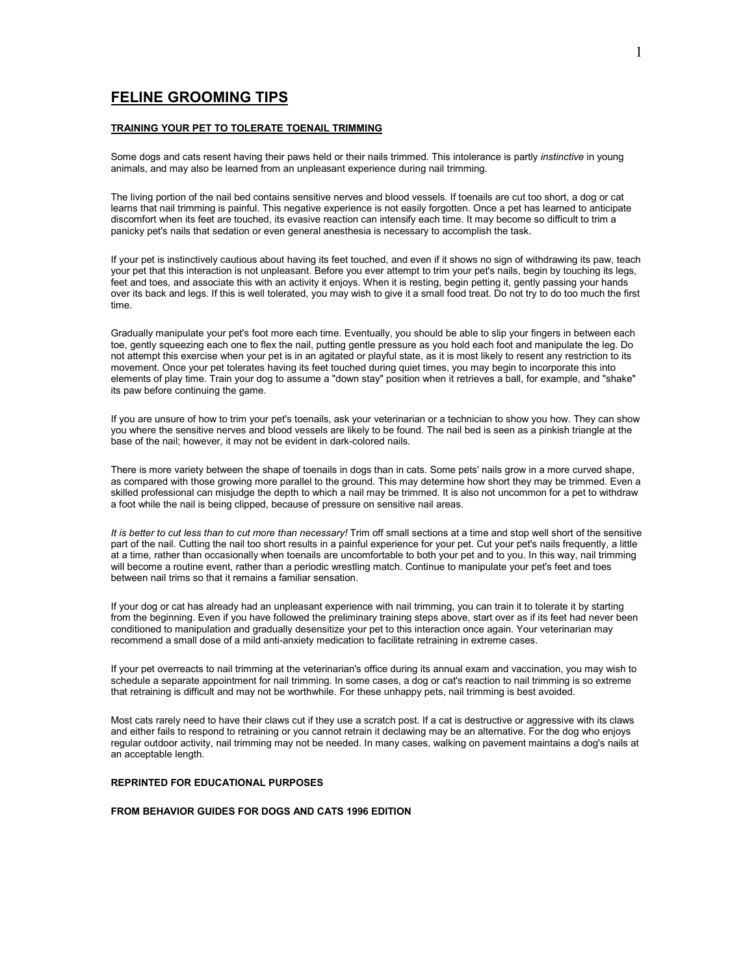# **FELINE GROOMING TIPS**

## **TRAINING YOUR PET TO TOLERATE TOENAIL TRIMMING**

Some dogs and cats resent having their paws held or their nails trimmed. This intolerance is partly *instinctive* in young animals, and may also be learned from an unpleasant experience during nail trimming.

The living portion of the nail bed contains sensitive nerves and blood vessels. If toenails are cut too short, a dog or cat learns that nail trimming is painful. This negative experience is not easily forgotten. Once a pet has learned to anticipate discomfort when its feet are touched, its evasive reaction can intensify each time. It may become so difficult to trim a panicky pet's nails that sedation or even general anesthesia is necessary to accomplish the task.

If your pet is instinctively cautious about having its feet touched, and even if it shows no sign of withdrawing its paw, teach your pet that this interaction is not unpleasant. Before you ever attempt to trim your pet's nails, begin by touching its legs, feet and toes, and associate this with an activity it enjoys. When it is resting, begin petting it, gently passing your hands over its back and legs. If this is well tolerated, you may wish to give it a small food treat. Do not try to do too much the first time.

Gradually manipulate your pet's foot more each time. Eventually, you should be able to slip your fingers in between each toe, gently squeezing each one to flex the nail, putting gentle pressure as you hold each foot and manipulate the leg. Do not attempt this exercise when your pet is in an agitated or playful state, as it is most likely to resent any restriction to its movement. Once your pet tolerates having its feet touched during quiet times, you may begin to incorporate this into elements of play time. Train your dog to assume a "down stay" position when it retrieves a ball, for example, and "shake" its paw before continuing the game.

If you are unsure of how to trim your pet's toenails, ask your veterinarian or a technician to show you how. They can show you where the sensitive nerves and blood vessels are likely to be found. The nail bed is seen as a pinkish triangle at the base of the nail; however, it may not be evident in dark-colored nails.

There is more variety between the shape of toenails in dogs than in cats. Some pets' nails grow in a more curved shape, as compared with those growing more parallel to the ground. This may determine how short they may be trimmed. Even a skilled professional can misjudge the depth to which a nail may be trimmed. It is also not uncommon for a pet to withdraw a foot while the nail is being clipped, because of pressure on sensitive nail areas.

*It is better to cut less than to cut more than necessary!* Trim off small sections at a time and stop well short of the sensitive part of the nail. Cutting the nail too short results in a painful experience for your pet. Cut your pet's nails frequently, a little at a time, rather than occasionally when toenails are uncomfortable to both your pet and to you. In this way, nail trimming will become a routine event, rather than a periodic wrestling match. Continue to manipulate your pet's feet and toes between nail trims so that it remains a familiar sensation.

If your dog or cat has already had an unpleasant experience with nail trimming, you can train it to tolerate it by starting from the beginning. Even if you have followed the preliminary training steps above, start over as if its feet had never been conditioned to manipulation and gradually desensitize your pet to this interaction once again. Your veterinarian may recommend a small dose of a mild anti-anxiety medication to facilitate retraining in extreme cases.

If your pet overreacts to nail trimming at the veterinarian's office during its annual exam and vaccination, you may wish to schedule a separate appointment for nail trimming. In some cases, a dog or cat's reaction to nail trimming is so extreme that retraining is difficult and may not be worthwhile. For these unhappy pets, nail trimming is best avoided.

Most cats rarely need to have their claws cut if they use a scratch post. If a cat is destructive or aggressive with its claws and either fails to respond to retraining or you cannot retrain it declawing may be an alternative. For the dog who enjoys regular outdoor activity, nail trimming may not be needed. In many cases, walking on pavement maintains a dog's nails at an acceptable length.

#### **REPRINTED FOR EDUCATIONAL PURPOSES**

#### **FROM BEHAVIOR GUIDES FOR DOGS AND CATS 1996 EDITION**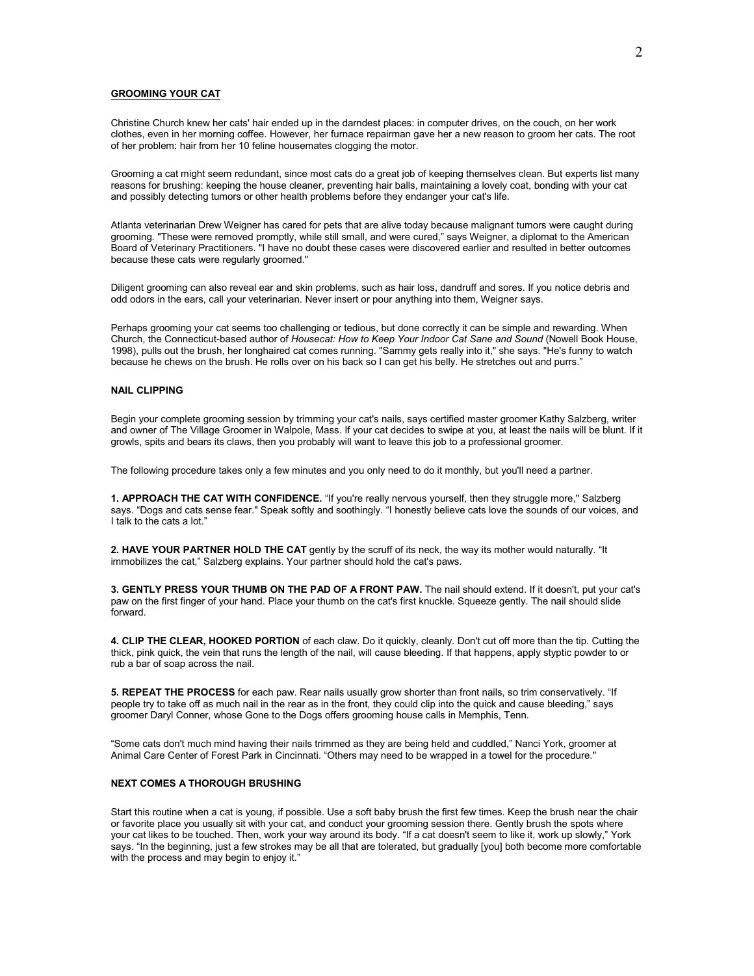#### **GROOMING YOUR CAT**

Christine Church knew her cats' hair ended up in the darndest places: in computer drives, on the couch, on her work clothes, even in her morning coffee. However, her furnace repairman gave her a new reason to groom her cats. The root of her problem: hair from her 10 feline housemates clogging the motor.

Grooming a cat might seem redundant, since most cats do a great job of keeping themselves clean. But experts list many reasons for brushing: keeping the house cleaner, preventing hair balls, maintaining a lovely coat, bonding with your cat and possibly detecting tumors or other health problems before they endanger your cat's life.

Atlanta veterinarian Drew Weigner has cared for pets that are alive today because malignant tumors were caught during grooming. "These were removed promptly, while still small, and were cured," says Weigner, a diplomat to the American Board of Veterinary Practitioners. "I have no doubt these cases were discovered earlier and resulted in better outcomes because these cats were regularly groomed."

Diligent grooming can also reveal ear and skin problems, such as hair loss, dandruff and sores. If you notice debris and odd odors in the ears, call your veterinarian. Never insert or pour anything into them, Weigner says.

Perhaps grooming your cat seems too challenging or tedious, but done correctly it can be simple and rewarding. When Church, the Connecticut-based author of *Housecat: How to Keep Your Indoor Cat Sane and Sound* (Nowell Book House, 1998), pulls out the brush, her longhaired cat comes running. "Sammy gets really into it," she says. "He's funny to watch because he chews on the brush. He rolls over on his back so I can get his belly. He stretches out and purrs."

#### **NAIL CLIPPING**

Begin your complete grooming session by trimming your cat's nails, says certified master groomer Kathy Salzberg, writer and owner of The Village Groomer in Walpole, Mass. If your cat decides to swipe at you, at least the nails will be blunt. If it growls, spits and bears its claws, then you probably will want to leave this job to a professional groomer.

The following procedure takes only a few minutes and you only need to do it monthly, but you'll need a partner.

**1. APPROACH THE CAT WITH CONFIDENCE.** "If you're really nervous yourself, then they struggle more," Salzberg says. "Dogs and cats sense fear." Speak softly and soothingly. "I honestly believe cats love the sounds of our voices, and I talk to the cats a lot."

2. HAVE YOUR PARTNER HOLD THE CAT gently by the scruff of its neck, the way its mother would naturally. "It immobilizes the cat," Salzberg explains. Your partner should hold the cat's paws.

**3. GENTLY PRESS YOUR THUMB ON THE PAD OF A FRONT PAW.** The nail should extend. If it doesn't, put your cat's paw on the first finger of your hand. Place your thumb on the cat's first knuckle. Squeeze gently. The nail should slide forward.

**4. CLIP THE CLEAR, HOOKED PORTION** of each claw. Do it quickly, cleanly. Don't cut off more than the tip. Cutting the thick, pink quick, the vein that runs the length of the nail, will cause bleeding. If that happens, apply styptic powder to or rub a bar of soap across the nail.

**5. REPEAT THE PROCESS** for each paw. Rear nails usually grow shorter than front nails, so trim conservatively. "If people try to take off as much nail in the rear as in the front, they could clip into the quick and cause bleeding," says groomer Daryl Conner, whose Gone to the Dogs offers grooming house calls in Memphis, Tenn.

"Some cats don't much mind having their nails trimmed as they are being held and cuddled," Nanci York, groomer at Animal Care Center of Forest Park in Cincinnati. "Others may need to be wrapped in a towel for the procedure."

#### **NEXT COMES A THOROUGH BRUSHING**

Start this routine when a cat is young, if possible. Use a soft baby brush the first few times. Keep the brush near the chair or favorite place you usually sit with your cat, and conduct your grooming session there. Gently brush the spots where your cat likes to be touched. Then, work your way around its body. "If a cat doesn't seem to like it, work up slowly," York says. "In the beginning, just a few strokes may be all that are tolerated, but gradually [you] both become more comfortable with the process and may begin to enjoy it."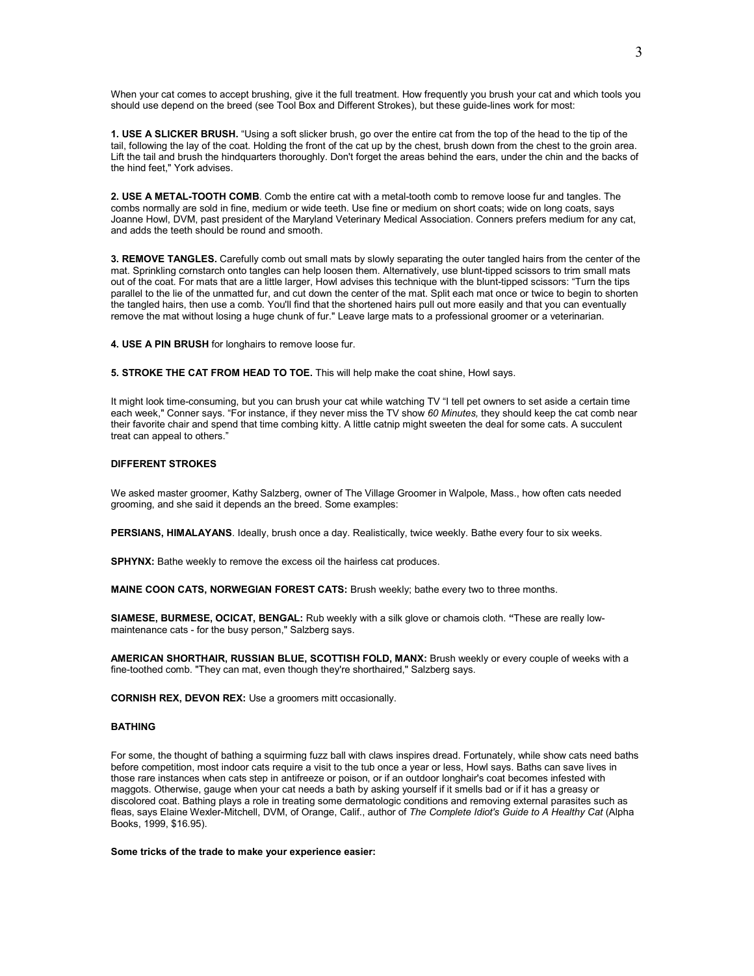When your cat comes to accept brushing, give it the full treatment. How frequently you brush your cat and which tools you should use depend on the breed (see Tool Box and Different Strokes), but these guide-lines work for most:

**1. USE A SLICKER BRUSH.** "Using a soft slicker brush, go over the entire cat from the top of the head to the tip of the tail, following the lay of the coat. Holding the front of the cat up by the chest, brush down from the chest to the groin area. Lift the tail and brush the hindquarters thoroughly. Don't forget the areas behind the ears, under the chin and the backs of the hind feet," York advises.

**2. USE A METAL-TOOTH COMB**. Comb the entire cat with a metal-tooth comb to remove loose fur and tangles. The combs normally are sold in fine, medium or wide teeth. Use fine or medium on short coats; wide on long coats, says Joanne Howl, DVM, past president of the Maryland Veterinary Medical Association. Conners prefers medium for any cat, and adds the teeth should be round and smooth.

**3. REMOVE TANGLES.** Carefully comb out small mats by slowly separating the outer tangled hairs from the center of the mat. Sprinkling cornstarch onto tangles can help loosen them. Alternatively, use blunt-tipped scissors to trim small mats out of the coat. For mats that are a little larger, Howl advises this technique with the blunt-tipped scissors: "Turn the tips parallel to the lie of the unmatted fur, and cut down the center of the mat. Split each mat once or twice to begin to shorten the tangled hairs, then use a comb. You'll find that the shortened hairs pull out more easily and that you can eventually remove the mat without losing a huge chunk of fur." Leave large mats to a professional groomer or a veterinarian.

**4. USE A PIN BRUSH** for longhairs to remove loose fur.

**5. STROKE THE CAT FROM HEAD TO TOE.** This will help make the coat shine, Howl says.

It might look time-consuming, but you can brush your cat while watching TV "I tell pet owners to set aside a certain time each week," Conner says. "For instance, if they never miss the TV show *60 Minutes,* they should keep the cat comb near their favorite chair and spend that time combing kitty. A little catnip might sweeten the deal for some cats. A succulent treat can appeal to others."

#### **DIFFERENT STROKES**

We asked master groomer, Kathy Salzberg, owner of The Village Groomer in Walpole, Mass., how often cats needed grooming, and she said it depends an the breed. Some examples:

PERSIANS, HIMALAYANS. Ideally, brush once a day. Realistically, twice weekly. Bathe every four to six weeks.

**SPHYNX:** Bathe weekly to remove the excess oil the hairless cat produces.

**MAINE COON CATS, NORWEGIAN FOREST CATS:** Brush weekly; bathe every two to three months.

**SIAMESE, BURMESE, OCICAT, BENGAL:** Rub weekly with a silk glove or chamois cloth. **"**These are really lowmaintenance cats - for the busy person," Salzberg says.

**AMERICAN SHORTHAIR, RUSSIAN BLUE, SCOTTISH FOLD, MANX:** Brush weekly or every couple of weeks with a fine-toothed comb. "They can mat, even though they're shorthaired," Salzberg says.

**CORNISH REX, DEVON REX:** Use a groomers mitt occasionally.

#### **BATHING**

For some, the thought of bathing a squirming fuzz ball with claws inspires dread. Fortunately, while show cats need baths before competition, most indoor cats require a visit to the tub once a year or less, Howl says. Baths can save lives in those rare instances when cats step in antifreeze or poison, or if an outdoor longhair's coat becomes infested with maggots. Otherwise, gauge when your cat needs a bath by asking yourself if it smells bad or if it has a greasy or discolored coat. Bathing plays a role in treating some dermatologic conditions and removing external parasites such as fleas, says Elaine Wexler-Mitchell, DVM, of Orange, Calif., author of *The Complete Idiot's Guide to A Healthy Cat* (Alpha Books, 1999, \$16.95).

**Some tricks of the trade to make your experience easier:**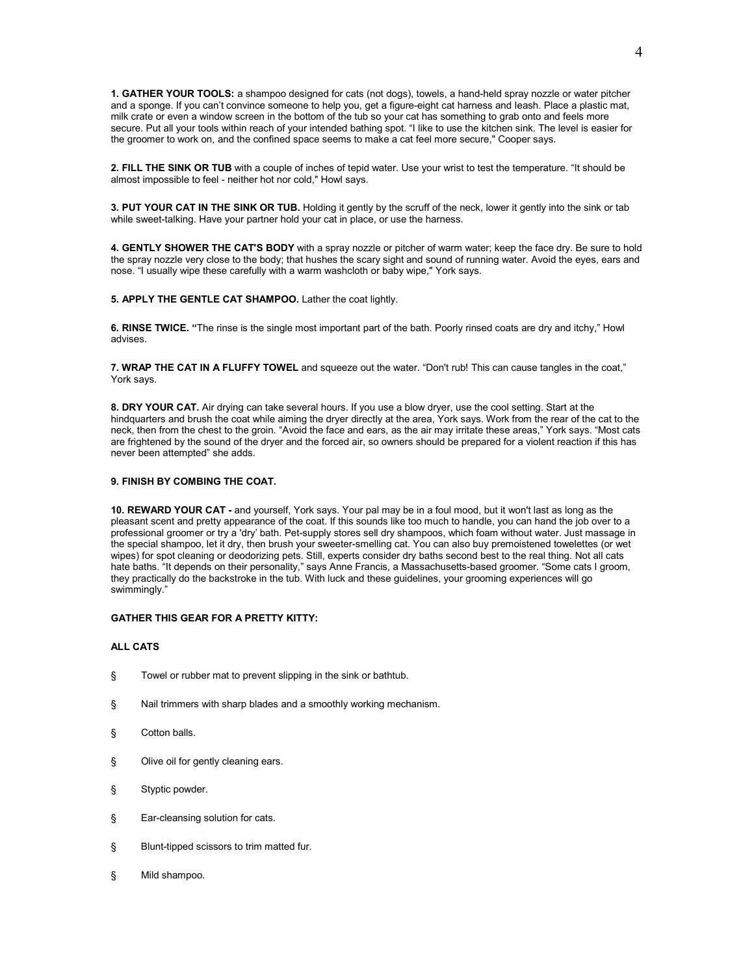**1. GATHER YOUR TOOLS:** a shampoo designed for cats (not dogs), towels, a hand-held spray nozzle or water pitcher and a sponge. If you can't convince someone to help you, get a figure-eight cat harness and Ieash. Place a plastic mat, milk crate or even a window screen in the bottom of the tub so your cat has something to grab onto and feels more secure. Put all your tools within reach of your intended bathing spot. "I like to use the kitchen sink. The level is easier for the groomer to work on, and the confined space seems to make a cat feel more secure," Cooper says.

**2. FILL THE SINK OR TUB** with a couple of inches of tepid water. Use your wrist to test the temperature. "It should be almost impossible to feel - neither hot nor cold," Howl says.

**3. PUT YOUR CAT IN THE SINK OR TUB.** Holding it gently by the scruff of the neck, lower it gently into the sink or tab while sweet-talking. Have your partner hold your cat in place, or use the harness.

**4. GENTLY SHOWER THE CAT'S BODY** with a spray nozzle or pitcher of warm water; keep the face dry. Be sure to hold the spray nozzle very close to the body; that hushes the scary sight and sound of running water. Avoid the eyes, ears and nose. "I usually wipe these carefully with a warm washcloth or baby wipe," York says.

**5. APPLY THE GENTLE CAT SHAMPOO.** Lather the coat lightly.

**6. RINSE TWICE. "**The rinse is the single most important part of the bath. Poorly rinsed coats are dry and itchy," Howl advises.

**7. WRAP THE CAT IN A FLUFFY TOWEL** and squeeze out the water. "Don't rub! This can cause tangles in the coat," York says.

**8. DRY YOUR CAT.** Air drying can take several hours. If you use a blow dryer, use the cool setting. Start at the hindquarters and brush the coat while aiming the dryer directly at the area, York says. Work from the rear of the cat to the neck, then from the chest to the groin. "Avoid the face and ears, as the air may irritate these areas," York says. "Most cats are frightened by the sound of the dryer and the forced air, so owners should be prepared for a violent reaction if this has never been attempted" she adds.

#### **9. FINISH BY COMBING THE COAT.**

**10. REWARD YOUR CAT -** and yourself, York says. Your pal may be in a foul mood, but it won't last as long as the pleasant scent and pretty appearance of the coat. If this sounds like too much to handle, you can hand the job over to a professional groomer or try a 'dry' bath. Pet-supply stores sell dry shampoos, which foam without water. Just massage in the special shampoo, let it dry, then brush your sweeter-smelling cat. You can also buy premoistened towelettes (or wet wipes) for spot cleaning or deodorizing pets. Still, experts consider dry baths second best to the real thing. Not all cats hate baths. "It depends on their personality," says Anne Francis, a Massachusetts-based groomer. "Some cats I groom, they practically do the backstroke in the tub. With luck and these guidelines, your grooming experiences will go swimmingly."

#### **GATHER THIS GEAR FOR A PRETTY KITTY:**

#### **ALL CATS**

- § Towel or rubber mat to prevent slipping in the sink or bathtub.
- § Nail trimmers with sharp blades and a smoothly working mechanism.
- § Cotton balls.
- § Olive oil for gently cleaning ears.
- § Styptic powder.
- § Ear-cleansing solution for cats.
- § Blunt-tipped scissors to trim matted fur.
- § Mild shampoo.